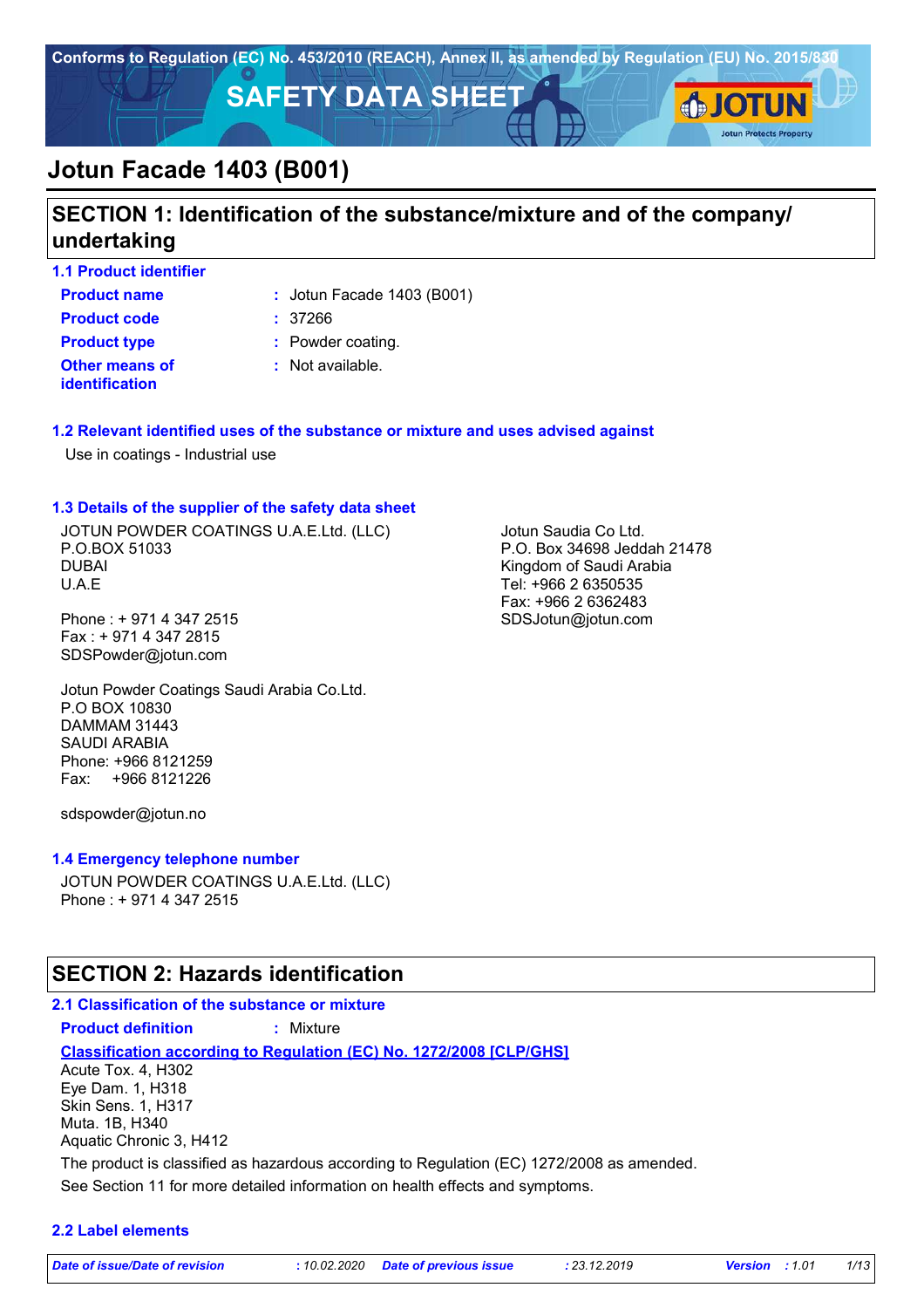

# **SECTION 1: Identification of the substance/mixture and of the company/ undertaking**

**1.1 Product identifier**

**Product name**  $\qquad$ : Jotun Facade 1403 (B001)

**Other means of identification Product code :** 37266 **Product type :** Powder coating.

: Not available.

## **1.2 Relevant identified uses of the substance or mixture and uses advised against**

Use in coatings - Industrial use

### **1.3 Details of the supplier of the safety data sheet**

JOTUN POWDER COATINGS U.A.E.Ltd. (LLC) P.O.BOX 51033 DUBAI U.A.E

Phone : + 971 4 347 2515 Fax : + 971 4 347 2815 SDSPowder@jotun.com

Jotun Powder Coatings Saudi Arabia Co.Ltd. P.O BOX 10830 DAMMAM 31443 SAUDI ARABIA Phone: +966 8121259 Fax: +966 8121226

sdspowder@jotun.no

### **1.4 Emergency telephone number**

JOTUN POWDER COATINGS U.A.E.Ltd. (LLC) Phone : + 971 4 347 2515

## **SECTION 2: Hazards identification**

## **2.1 Classification of the substance or mixture Product definition :** Mixture

**Classification according to Regulation (EC) No. 1272/2008 [CLP/GHS]**

See Section 11 for more detailed information on health effects and symptoms. Acute Tox. 4, H302 Eye Dam. 1, H318 Skin Sens. 1, H317 Muta. 1B, H340 Aquatic Chronic 3, H412 The product is classified as hazardous according to Regulation (EC) 1272/2008 as amended.

### **2.2 Label elements**

*Date of issue/Date of revision* **:** *10.02.2020 Date of previous issue : 23.12.2019 Version : 1.01 1/13*

Jotun Saudia Co Ltd.

P.O. Box 34698 Jeddah 21478 Kingdom of Saudi Arabia Tel: +966 2 6350535 Fax: +966 2 6362483 SDSJotun@jotun.com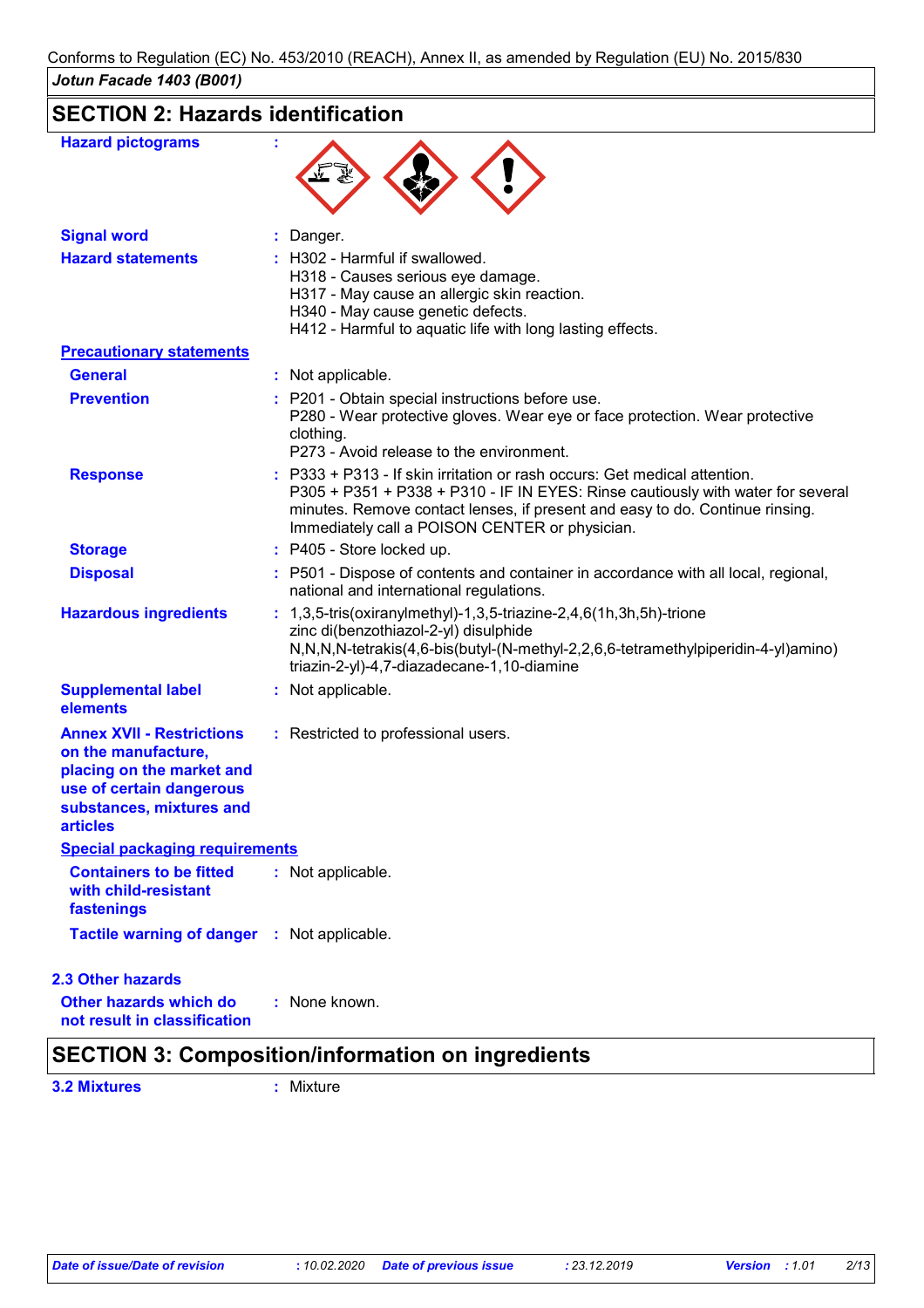# **SECTION 2: Hazards identification**

| <b>Hazard pictograms</b>                                                                                                                                        |                                                                                                                                                                                                                                                                                                |
|-----------------------------------------------------------------------------------------------------------------------------------------------------------------|------------------------------------------------------------------------------------------------------------------------------------------------------------------------------------------------------------------------------------------------------------------------------------------------|
| <b>Signal word</b>                                                                                                                                              | : Danger.                                                                                                                                                                                                                                                                                      |
| <b>Hazard statements</b>                                                                                                                                        | : H302 - Harmful if swallowed.<br>H318 - Causes serious eye damage.<br>H317 - May cause an allergic skin reaction.<br>H340 - May cause genetic defects.<br>H412 - Harmful to aquatic life with long lasting effects.                                                                           |
| <b>Precautionary statements</b>                                                                                                                                 |                                                                                                                                                                                                                                                                                                |
| <b>General</b>                                                                                                                                                  | : Not applicable.                                                                                                                                                                                                                                                                              |
| <b>Prevention</b>                                                                                                                                               | : P201 - Obtain special instructions before use.<br>P280 - Wear protective gloves. Wear eye or face protection. Wear protective<br>clothing.<br>P273 - Avoid release to the environment.                                                                                                       |
| <b>Response</b>                                                                                                                                                 | : P333 + P313 - If skin irritation or rash occurs: Get medical attention.<br>P305 + P351 + P338 + P310 - IF IN EYES: Rinse cautiously with water for several<br>minutes. Remove contact lenses, if present and easy to do. Continue rinsing.<br>Immediately call a POISON CENTER or physician. |
| <b>Storage</b>                                                                                                                                                  | : P405 - Store locked up.                                                                                                                                                                                                                                                                      |
| <b>Disposal</b>                                                                                                                                                 | : P501 - Dispose of contents and container in accordance with all local, regional,<br>national and international regulations.                                                                                                                                                                  |
| <b>Hazardous ingredients</b>                                                                                                                                    | : $1,3,5$ -tris(oxiranylmethyl)-1,3,5-triazine-2,4,6(1h,3h,5h)-trione<br>zinc di(benzothiazol-2-yl) disulphide<br>N,N,N,N-tetrakis(4,6-bis(butyl-(N-methyl-2,2,6,6-tetramethylpiperidin-4-yl)amino)<br>triazin-2-yl)-4,7-diazadecane-1,10-diamine                                              |
| <b>Supplemental label</b><br>elements                                                                                                                           | : Not applicable.                                                                                                                                                                                                                                                                              |
| <b>Annex XVII - Restrictions</b><br>on the manufacture,<br>placing on the market and<br>use of certain dangerous<br>substances, mixtures and<br><b>articles</b> | : Restricted to professional users.                                                                                                                                                                                                                                                            |
| <b>Special packaging requirements</b>                                                                                                                           |                                                                                                                                                                                                                                                                                                |
| <b>Containers to be fitted</b><br>with child-resistant<br>fastenings                                                                                            | : Not applicable.                                                                                                                                                                                                                                                                              |
| <b>Tactile warning of danger : Not applicable.</b>                                                                                                              |                                                                                                                                                                                                                                                                                                |
| <b>2.3 Other hazards</b>                                                                                                                                        |                                                                                                                                                                                                                                                                                                |
| Other hazards which do<br>not result in classification                                                                                                          | : None known.                                                                                                                                                                                                                                                                                  |

## **SECTION 3: Composition/information on ingredients**

**3.2 Mixtures :** Mixture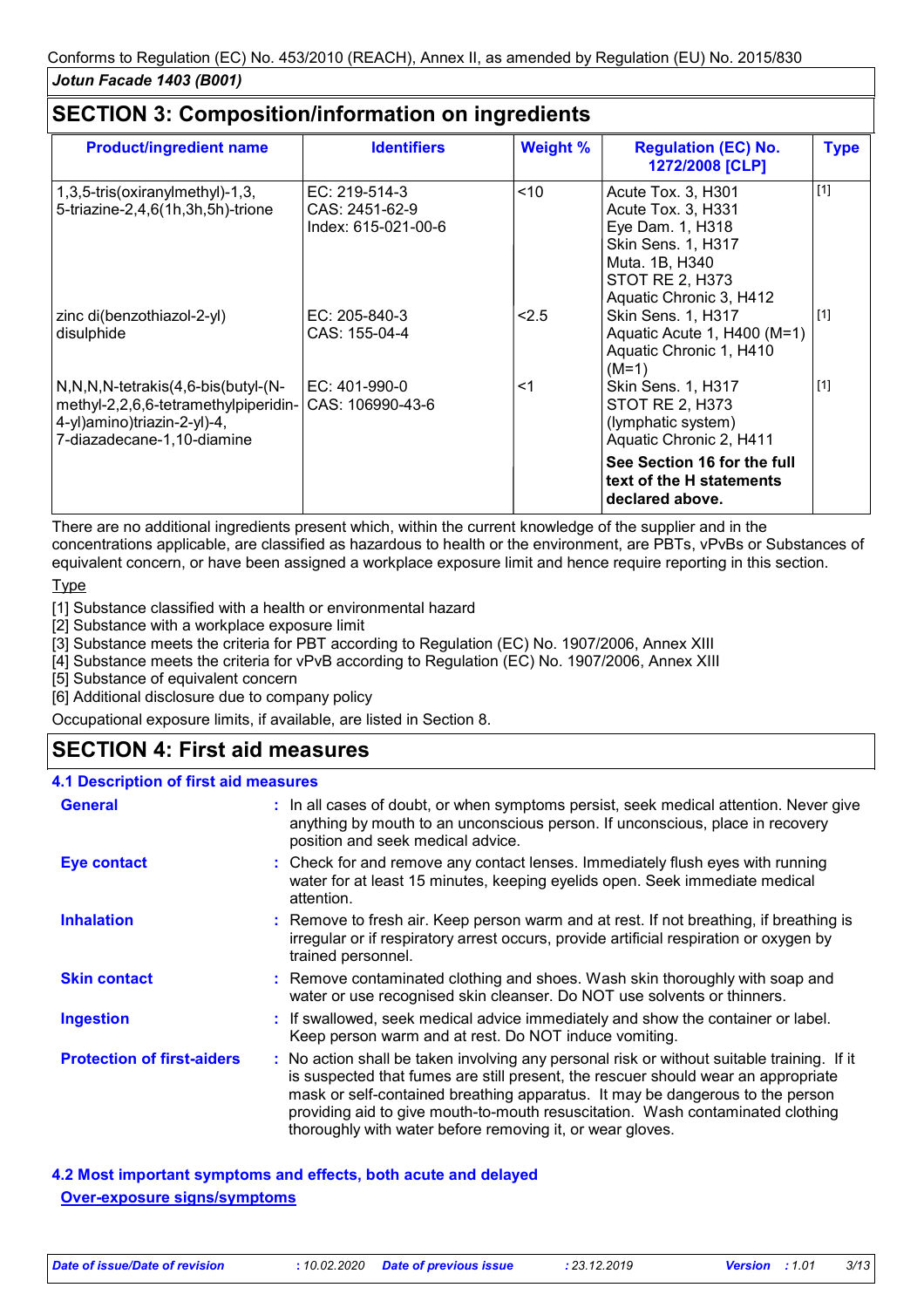## **SECTION 3: Composition/information on ingredients**

| <b>Product/ingredient name</b>                                                                                                                                      | <b>Identifiers</b>                                       | <b>Weight %</b> | <b>Regulation (EC) No.</b><br>1272/2008 [CLP]                                                                                                             | <b>Type</b> |
|---------------------------------------------------------------------------------------------------------------------------------------------------------------------|----------------------------------------------------------|-----------------|-----------------------------------------------------------------------------------------------------------------------------------------------------------|-------------|
| 1,3,5-tris(oxiranylmethyl)-1,3,<br>5-triazine-2,4,6(1h,3h,5h)-trione                                                                                                | $EC: 219-514-3$<br>CAS: 2451-62-9<br>Index: 615-021-00-6 | $<$ 10          | Acute Tox. 3, H301<br>Acute Tox. 3, H331<br>Eye Dam. 1, H318<br>Skin Sens. 1, H317<br>Muta. 1B, H340<br><b>STOT RE 2, H373</b><br>Aquatic Chronic 3, H412 | $[1]$       |
| zinc di(benzothiazol-2-yl)<br>disulphide                                                                                                                            | $EC: 205-840-3$<br>CAS: 155-04-4                         | 2.5             | Skin Sens. 1, H317<br>Aquatic Acute 1, H400 (M=1)<br>Aquatic Chronic 1, H410<br>$(M=1)$                                                                   | $[1]$       |
| $N, N, N$ -tetrakis $(4, 6$ -bis $(buty)-(N-$<br>methyl-2,2,6,6-tetramethylpiperidin- CAS: 106990-43-6<br>4-yl)amino)triazin-2-yl)-4,<br>7-diazadecane-1,10-diamine | $EC: 401-990-0$                                          | <1              | <b>Skin Sens. 1, H317</b><br><b>STOT RE 2, H373</b><br>(lymphatic system)<br>Aquatic Chronic 2, H411                                                      | $[1]$       |
|                                                                                                                                                                     |                                                          |                 | See Section 16 for the full<br>text of the H statements<br>declared above.                                                                                |             |

There are no additional ingredients present which, within the current knowledge of the supplier and in the concentrations applicable, are classified as hazardous to health or the environment, are PBTs, vPvBs or Substances of equivalent concern, or have been assigned a workplace exposure limit and hence require reporting in this section.

## Type

[1] Substance classified with a health or environmental hazard

[2] Substance with a workplace exposure limit

[3] Substance meets the criteria for PBT according to Regulation (EC) No. 1907/2006, Annex XIII

[4] Substance meets the criteria for vPvB according to Regulation (EC) No. 1907/2006, Annex XIII

[5] Substance of equivalent concern

[6] Additional disclosure due to company policy

Occupational exposure limits, if available, are listed in Section 8.

# **SECTION 4: First aid measures**

#### **4.1 Description of first aid measures**

| <b>General</b>                    | : In all cases of doubt, or when symptoms persist, seek medical attention. Never give<br>anything by mouth to an unconscious person. If unconscious, place in recovery<br>position and seek medical advice.                                                                                                                                                                                                     |  |
|-----------------------------------|-----------------------------------------------------------------------------------------------------------------------------------------------------------------------------------------------------------------------------------------------------------------------------------------------------------------------------------------------------------------------------------------------------------------|--|
| Eye contact                       | : Check for and remove any contact lenses. Immediately flush eyes with running<br>water for at least 15 minutes, keeping eyelids open. Seek immediate medical<br>attention.                                                                                                                                                                                                                                     |  |
| <b>Inhalation</b>                 | : Remove to fresh air. Keep person warm and at rest. If not breathing, if breathing is<br>irregular or if respiratory arrest occurs, provide artificial respiration or oxygen by<br>trained personnel.                                                                                                                                                                                                          |  |
| <b>Skin contact</b>               | : Remove contaminated clothing and shoes. Wash skin thoroughly with soap and<br>water or use recognised skin cleanser. Do NOT use solvents or thinners.                                                                                                                                                                                                                                                         |  |
| <b>Ingestion</b>                  | : If swallowed, seek medical advice immediately and show the container or label.<br>Keep person warm and at rest. Do NOT induce vomiting.                                                                                                                                                                                                                                                                       |  |
| <b>Protection of first-aiders</b> | : No action shall be taken involving any personal risk or without suitable training. If it<br>is suspected that fumes are still present, the rescuer should wear an appropriate<br>mask or self-contained breathing apparatus. It may be dangerous to the person<br>providing aid to give mouth-to-mouth resuscitation. Wash contaminated clothing<br>thoroughly with water before removing it, or wear gloves. |  |

**4.2 Most important symptoms and effects, both acute and delayed Over-exposure signs/symptoms**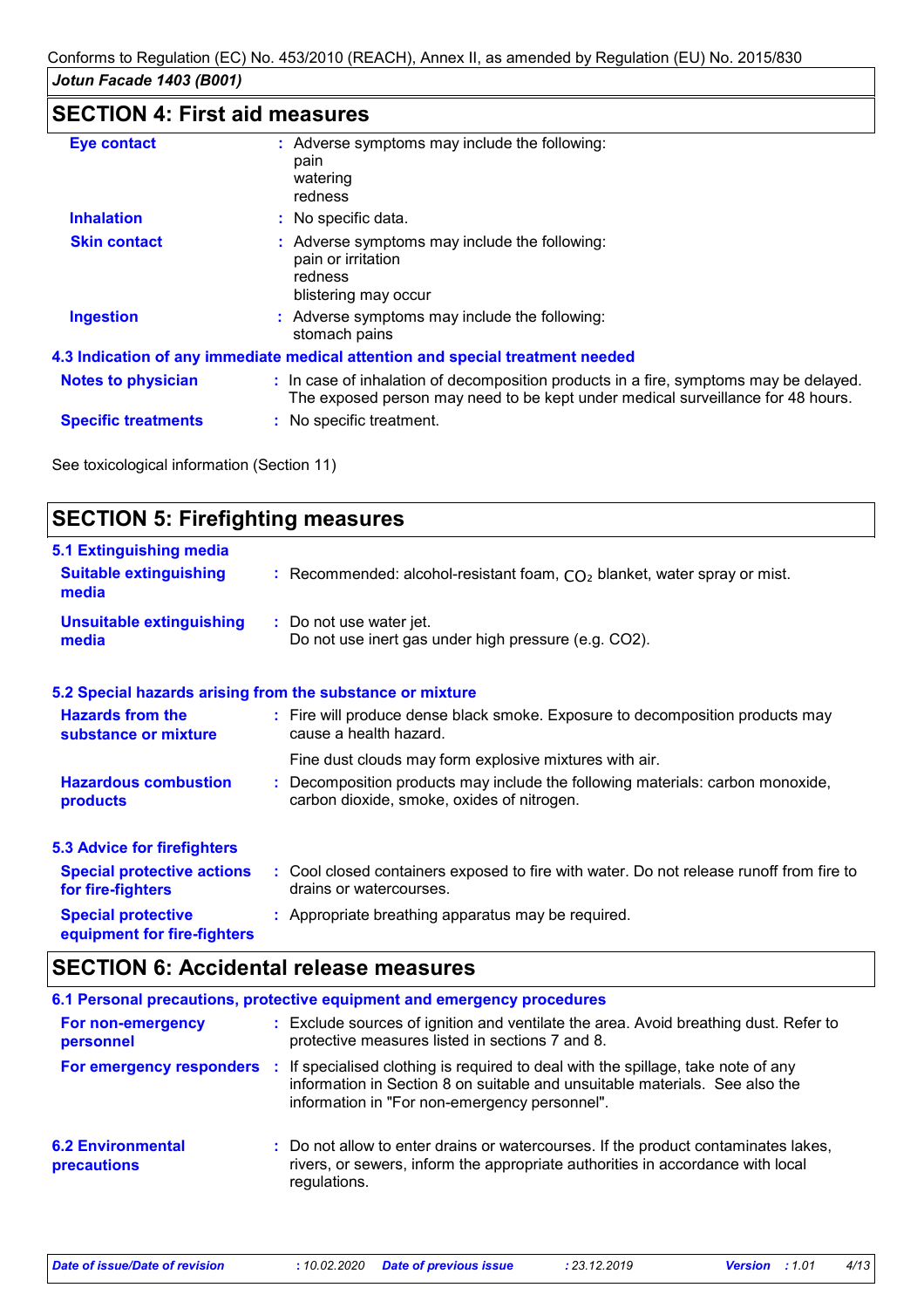# **SECTION 4: First aid measures**

| <b>Eye contact</b>         | : Adverse symptoms may include the following:<br>pain<br>watering<br>redness                                                                                             |
|----------------------------|--------------------------------------------------------------------------------------------------------------------------------------------------------------------------|
| <b>Inhalation</b>          | : No specific data.                                                                                                                                                      |
| <b>Skin contact</b>        | : Adverse symptoms may include the following:<br>pain or irritation<br>redness<br>blistering may occur                                                                   |
| <b>Ingestion</b>           | : Adverse symptoms may include the following:<br>stomach pains                                                                                                           |
|                            | 4.3 Indication of any immediate medical attention and special treatment needed                                                                                           |
| <b>Notes to physician</b>  | : In case of inhalation of decomposition products in a fire, symptoms may be delayed.<br>The exposed person may need to be kept under medical surveillance for 48 hours. |
| <b>Specific treatments</b> | : No specific treatment.                                                                                                                                                 |

See toxicological information (Section 11)

| <b>SECTION 5: Firefighting measures</b>                           |                                                                                                                              |
|-------------------------------------------------------------------|------------------------------------------------------------------------------------------------------------------------------|
| 5.1 Extinguishing media<br><b>Suitable extinguishing</b><br>media | : Recommended: alcohol-resistant foam, $CO2$ blanket, water spray or mist.                                                   |
| <b>Unsuitable extinguishing</b><br>media                          | : Do not use water jet.<br>Do not use inert gas under high pressure (e.g. CO2).                                              |
|                                                                   | 5.2 Special hazards arising from the substance or mixture                                                                    |
| <b>Hazards from the</b><br>substance or mixture                   | : Fire will produce dense black smoke. Exposure to decomposition products may<br>cause a health hazard.                      |
|                                                                   | Fine dust clouds may form explosive mixtures with air.                                                                       |
| <b>Hazardous combustion</b><br>products                           | : Decomposition products may include the following materials: carbon monoxide,<br>carbon dioxide, smoke, oxides of nitrogen. |
| <b>5.3 Advice for firefighters</b>                                |                                                                                                                              |
| <b>Special protective actions</b><br>for fire-fighters            | : Cool closed containers exposed to fire with water. Do not release runoff from fire to<br>drains or watercourses.           |
| <b>Special protective</b><br>equipment for fire-fighters          | : Appropriate breathing apparatus may be required.                                                                           |

# **SECTION 6: Accidental release measures**

|                                         | 6.1 Personal precautions, protective equipment and emergency procedures                                                                                                                                                                    |
|-----------------------------------------|--------------------------------------------------------------------------------------------------------------------------------------------------------------------------------------------------------------------------------------------|
| For non-emergency<br>personnel          | : Exclude sources of ignition and ventilate the area. Avoid breathing dust. Refer to<br>protective measures listed in sections 7 and 8.                                                                                                    |
|                                         | For emergency responders : If specialised clothing is required to deal with the spillage, take note of any<br>information in Section 8 on suitable and unsuitable materials. See also the<br>information in "For non-emergency personnel". |
| <b>6.2 Environmental</b><br>precautions | : Do not allow to enter drains or watercourses. If the product contaminates lakes,<br>rivers, or sewers, inform the appropriate authorities in accordance with local<br>regulations.                                                       |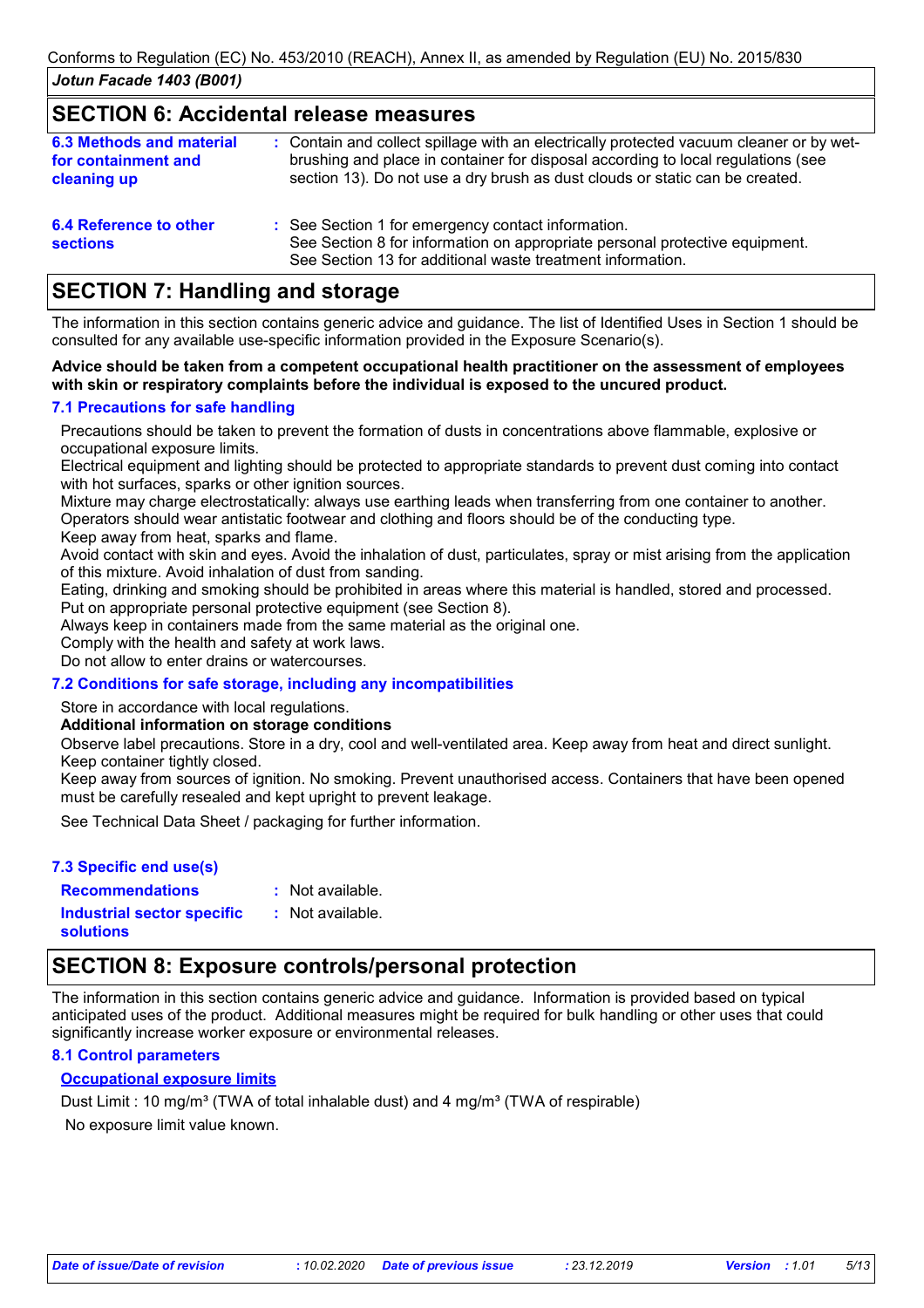## **SECTION 6: Accidental release measures**

| <b>6.3 Methods and material</b><br>for containment and<br>cleaning up | : Contain and collect spillage with an electrically protected vacuum cleaner or by wet-<br>brushing and place in container for disposal according to local regulations (see<br>section 13). Do not use a dry brush as dust clouds or static can be created. |
|-----------------------------------------------------------------------|-------------------------------------------------------------------------------------------------------------------------------------------------------------------------------------------------------------------------------------------------------------|
| 6.4 Reference to other<br><b>sections</b>                             | : See Section 1 for emergency contact information.<br>See Section 8 for information on appropriate personal protective equipment.                                                                                                                           |

See Section 13 for additional waste treatment information.

## **SECTION 7: Handling and storage**

The information in this section contains generic advice and guidance. The list of Identified Uses in Section 1 should be consulted for any available use-specific information provided in the Exposure Scenario(s).

#### **Advice should be taken from a competent occupational health practitioner on the assessment of employees with skin or respiratory complaints before the individual is exposed to the uncured product.**

## **7.1 Precautions for safe handling**

Precautions should be taken to prevent the formation of dusts in concentrations above flammable, explosive or occupational exposure limits.

Electrical equipment and lighting should be protected to appropriate standards to prevent dust coming into contact with hot surfaces, sparks or other ignition sources.

Mixture may charge electrostatically: always use earthing leads when transferring from one container to another. Operators should wear antistatic footwear and clothing and floors should be of the conducting type.

Keep away from heat, sparks and flame.

Avoid contact with skin and eyes. Avoid the inhalation of dust, particulates, spray or mist arising from the application of this mixture. Avoid inhalation of dust from sanding.

Eating, drinking and smoking should be prohibited in areas where this material is handled, stored and processed. Put on appropriate personal protective equipment (see Section 8).

Always keep in containers made from the same material as the original one.

Comply with the health and safety at work laws.

Do not allow to enter drains or watercourses.

## **7.2 Conditions for safe storage, including any incompatibilities**

Store in accordance with local regulations.

### **Additional information on storage conditions**

Observe label precautions. Store in a dry, cool and well-ventilated area. Keep away from heat and direct sunlight. Keep container tightly closed.

Keep away from sources of ignition. No smoking. Prevent unauthorised access. Containers that have been opened must be carefully resealed and kept upright to prevent leakage.

See Technical Data Sheet / packaging for further information.

### **7.3 Specific end use(s)**

: Not available.

**Recommendations : Industrial sector specific : solutions**

: Not available.

# **SECTION 8: Exposure controls/personal protection**

The information in this section contains generic advice and guidance. Information is provided based on typical anticipated uses of the product. Additional measures might be required for bulk handling or other uses that could significantly increase worker exposure or environmental releases.

## **8.1 Control parameters**

## **Occupational exposure limits**

No exposure limit value known. Dust Limit : 10 mg/m<sup>3</sup> (TWA of total inhalable dust) and 4 mg/m<sup>3</sup> (TWA of respirable)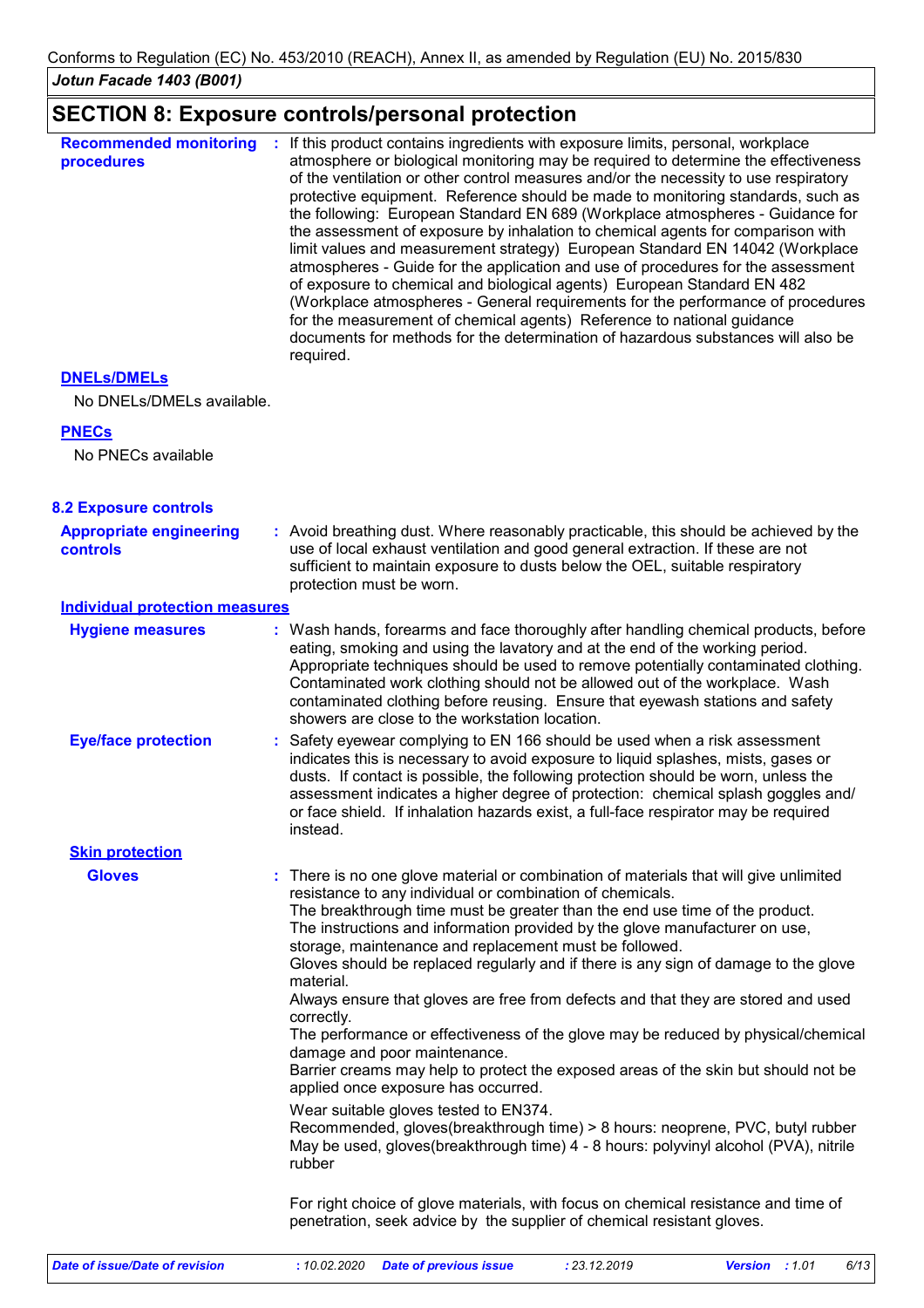# **SECTION 8: Exposure controls/personal protection**

| <b>Recommended monitoring</b><br>procedures | If this product contains ingredients with exposure limits, personal, workplace<br>atmosphere or biological monitoring may be required to determine the effectiveness<br>of the ventilation or other control measures and/or the necessity to use respiratory<br>protective equipment. Reference should be made to monitoring standards, such as<br>the following: European Standard EN 689 (Workplace atmospheres - Guidance for<br>the assessment of exposure by inhalation to chemical agents for comparison with<br>limit values and measurement strategy) European Standard EN 14042 (Workplace<br>atmospheres - Guide for the application and use of procedures for the assessment<br>of exposure to chemical and biological agents) European Standard EN 482<br>(Workplace atmospheres - General requirements for the performance of procedures<br>for the measurement of chemical agents) Reference to national guidance<br>documents for methods for the determination of hazardous substances will also be<br>required. |
|---------------------------------------------|----------------------------------------------------------------------------------------------------------------------------------------------------------------------------------------------------------------------------------------------------------------------------------------------------------------------------------------------------------------------------------------------------------------------------------------------------------------------------------------------------------------------------------------------------------------------------------------------------------------------------------------------------------------------------------------------------------------------------------------------------------------------------------------------------------------------------------------------------------------------------------------------------------------------------------------------------------------------------------------------------------------------------------|
|---------------------------------------------|----------------------------------------------------------------------------------------------------------------------------------------------------------------------------------------------------------------------------------------------------------------------------------------------------------------------------------------------------------------------------------------------------------------------------------------------------------------------------------------------------------------------------------------------------------------------------------------------------------------------------------------------------------------------------------------------------------------------------------------------------------------------------------------------------------------------------------------------------------------------------------------------------------------------------------------------------------------------------------------------------------------------------------|

## **DNELs/DMELs**

No DNELs/DMELs available.

## **PNECs**

No PNECs available

| <b>8.2 Exposure controls</b>               |                                                                                                                                                                                                                                                                                                                                                                                                                                                                                                                                                                                                                                                                                                                                                                                                                                                                                                                                                                                                                                                               |
|--------------------------------------------|---------------------------------------------------------------------------------------------------------------------------------------------------------------------------------------------------------------------------------------------------------------------------------------------------------------------------------------------------------------------------------------------------------------------------------------------------------------------------------------------------------------------------------------------------------------------------------------------------------------------------------------------------------------------------------------------------------------------------------------------------------------------------------------------------------------------------------------------------------------------------------------------------------------------------------------------------------------------------------------------------------------------------------------------------------------|
| <b>Appropriate engineering</b><br>controls | : Avoid breathing dust. Where reasonably practicable, this should be achieved by the<br>use of local exhaust ventilation and good general extraction. If these are not<br>sufficient to maintain exposure to dusts below the OEL, suitable respiratory<br>protection must be worn.                                                                                                                                                                                                                                                                                                                                                                                                                                                                                                                                                                                                                                                                                                                                                                            |
| <b>Individual protection measures</b>      |                                                                                                                                                                                                                                                                                                                                                                                                                                                                                                                                                                                                                                                                                                                                                                                                                                                                                                                                                                                                                                                               |
| <b>Hygiene measures</b>                    | : Wash hands, forearms and face thoroughly after handling chemical products, before<br>eating, smoking and using the lavatory and at the end of the working period.<br>Appropriate techniques should be used to remove potentially contaminated clothing.<br>Contaminated work clothing should not be allowed out of the workplace. Wash<br>contaminated clothing before reusing. Ensure that eyewash stations and safety<br>showers are close to the workstation location.                                                                                                                                                                                                                                                                                                                                                                                                                                                                                                                                                                                   |
| <b>Eye/face protection</b>                 | : Safety eyewear complying to EN 166 should be used when a risk assessment<br>indicates this is necessary to avoid exposure to liquid splashes, mists, gases or<br>dusts. If contact is possible, the following protection should be worn, unless the<br>assessment indicates a higher degree of protection: chemical splash goggles and/<br>or face shield. If inhalation hazards exist, a full-face respirator may be required<br>instead.                                                                                                                                                                                                                                                                                                                                                                                                                                                                                                                                                                                                                  |
| <b>Skin protection</b>                     |                                                                                                                                                                                                                                                                                                                                                                                                                                                                                                                                                                                                                                                                                                                                                                                                                                                                                                                                                                                                                                                               |
| <b>Gloves</b>                              | There is no one glove material or combination of materials that will give unlimited<br>resistance to any individual or combination of chemicals.<br>The breakthrough time must be greater than the end use time of the product.<br>The instructions and information provided by the glove manufacturer on use,<br>storage, maintenance and replacement must be followed.<br>Gloves should be replaced regularly and if there is any sign of damage to the glove<br>material.<br>Always ensure that gloves are free from defects and that they are stored and used<br>correctly.<br>The performance or effectiveness of the glove may be reduced by physical/chemical<br>damage and poor maintenance.<br>Barrier creams may help to protect the exposed areas of the skin but should not be<br>applied once exposure has occurred.<br>Wear suitable gloves tested to EN374.<br>Recommended, gloves(breakthrough time) > 8 hours: neoprene, PVC, butyl rubber<br>May be used, gloves(breakthrough time) 4 - 8 hours: polyvinyl alcohol (PVA), nitrile<br>rubber |
|                                            | For right choice of glove materials, with focus on chemical resistance and time of<br>penetration, seek advice by the supplier of chemical resistant gloves.                                                                                                                                                                                                                                                                                                                                                                                                                                                                                                                                                                                                                                                                                                                                                                                                                                                                                                  |
|                                            |                                                                                                                                                                                                                                                                                                                                                                                                                                                                                                                                                                                                                                                                                                                                                                                                                                                                                                                                                                                                                                                               |

*Date of issue/Date of revision* **:** *10.02.2020 Date of previous issue : 23.12.2019 Version : 1.01 6/13*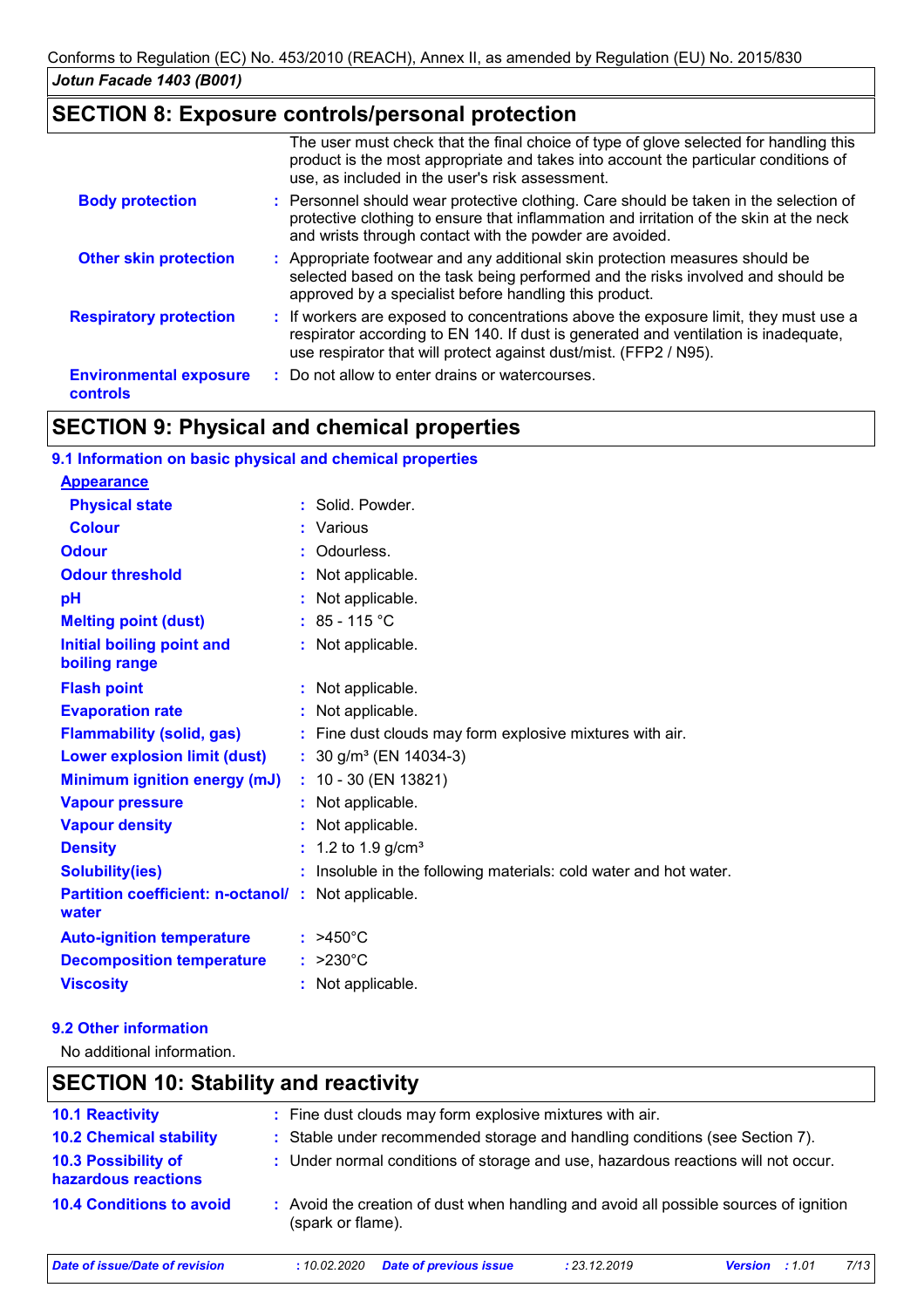## **SECTION 8: Exposure controls/personal protection**

|                                                  | The user must check that the final choice of type of glove selected for handling this<br>product is the most appropriate and takes into account the particular conditions of<br>use, as included in the user's risk assessment.                  |
|--------------------------------------------------|--------------------------------------------------------------------------------------------------------------------------------------------------------------------------------------------------------------------------------------------------|
| <b>Body protection</b>                           | : Personnel should wear protective clothing. Care should be taken in the selection of<br>protective clothing to ensure that inflammation and irritation of the skin at the neck<br>and wrists through contact with the powder are avoided.       |
| <b>Other skin protection</b>                     | : Appropriate footwear and any additional skin protection measures should be<br>selected based on the task being performed and the risks involved and should be<br>approved by a specialist before handling this product.                        |
| <b>Respiratory protection</b>                    | : If workers are exposed to concentrations above the exposure limit, they must use a<br>respirator according to EN 140. If dust is generated and ventilation is inadequate,<br>use respirator that will protect against dust/mist. (FFP2 / N95). |
| <b>Environmental exposure</b><br><b>controls</b> | : Do not allow to enter drains or watercourses.                                                                                                                                                                                                  |

# **SECTION 9: Physical and chemical properties**

| 9.1 Information on basic physical and chemical properties   |                                                                   |
|-------------------------------------------------------------|-------------------------------------------------------------------|
| <b>Appearance</b>                                           |                                                                   |
| <b>Physical state</b>                                       | : Solid. Powder.                                                  |
| <b>Colour</b>                                               | : Various                                                         |
| <b>Odour</b>                                                | : Odourless.                                                      |
| <b>Odour threshold</b>                                      | : Not applicable.                                                 |
| pH                                                          | : Not applicable.                                                 |
| <b>Melting point (dust)</b>                                 | $: 85 - 115 °C$                                                   |
| Initial boiling point and<br>boiling range                  | : Not applicable.                                                 |
| <b>Flash point</b>                                          | : Not applicable.                                                 |
| <b>Evaporation rate</b>                                     | : Not applicable.                                                 |
| <b>Flammability (solid, gas)</b>                            | : Fine dust clouds may form explosive mixtures with air.          |
| <b>Lower explosion limit (dust)</b>                         | : $30$ g/m <sup>3</sup> (EN 14034-3)                              |
| Minimum ignition energy (mJ)                                | $: 10 - 30$ (EN 13821)                                            |
| <b>Vapour pressure</b>                                      | : Not applicable.                                                 |
| <b>Vapour density</b>                                       | : Not applicable.                                                 |
| <b>Density</b>                                              | : 1.2 to 1.9 $g/cm3$                                              |
| <b>Solubility(ies)</b>                                      | : Insoluble in the following materials: cold water and hot water. |
| Partition coefficient: n-octanol/: Not applicable.<br>water |                                                                   |
| <b>Auto-ignition temperature</b>                            | $:$ >450°C                                                        |
| <b>Decomposition temperature</b>                            | $: >230^{\circ}C$                                                 |
| <b>Viscosity</b>                                            | : Not applicable.                                                 |

### **9.2 Other information**

No additional information.

## **SECTION 10: Stability and reactivity 10.4 Conditions to avoid 10.2 Chemical stability :** Stable under recommended storage and handling conditions (see Section 7). **:** Avoid the creation of dust when handling and avoid all possible sources of ignition **10.3 Possibility of hazardous reactions :** Under normal conditions of storage and use, hazardous reactions will not occur. **10.1 Reactivity :** Fine dust clouds may form explosive mixtures with air. (spark or flame). *Date of issue/Date of revision* **:** *10.02.2020 Date of previous issue : 23.12.2019 Version : 1.01 7/13*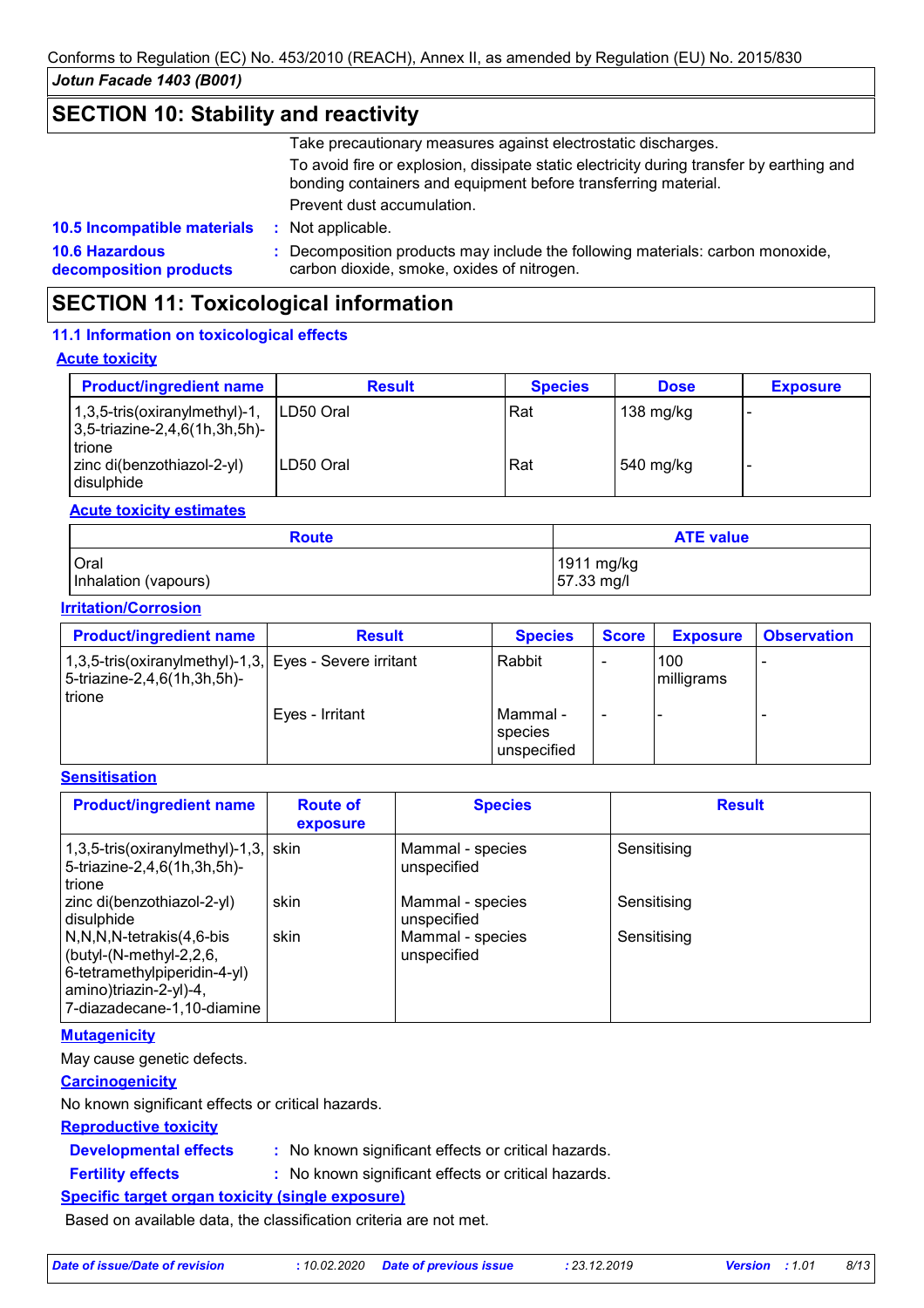## **SECTION 10: Stability and reactivity**

Take precautionary measures against electrostatic discharges.

To avoid fire or explosion, dissipate static electricity during transfer by earthing and bonding containers and equipment before transferring material. Prevent dust accumulation.

**10.6 Hazardous decomposition products 10.5 Incompatible materials :**

**:** Decomposition products may include the following materials: carbon monoxide, carbon dioxide, smoke, oxides of nitrogen.

# **SECTION 11: Toxicological information**

: Not applicable.

## **11.1 Information on toxicological effects**

### **Acute toxicity**

| <b>Product/ingredient name</b>                                                    | <b>Result</b> | <b>Species</b> | <b>Dose</b> | <b>Exposure</b> |
|-----------------------------------------------------------------------------------|---------------|----------------|-------------|-----------------|
| $1,3,5$ -tris(oxiranylmethyl)-1,<br>$ 3,5$ -triazine-2,4,6(1h,3h,5h)-<br>l trione | ILD50 Oral    | Rat            | 138 mg/kg   |                 |
| zinc di(benzothiazol-2-yl)<br>l disulphide                                        | ILD50 Oral    | Rat            | $540$ mg/kg |                 |

## **Acute toxicity estimates**

| <b>Route</b>         | <b>ATE value</b> |
|----------------------|------------------|
| <b>Oral</b>          | 1911 mg/kg       |
| Inhalation (vapours) | 57.33 mg/l       |

### **Irritation/Corrosion**

| <b>Product/ingredient name</b>                                                                  | <b>Result</b>   | <b>Species</b>                     | <b>Score</b> | <b>Exposure</b>   | <b>Observation</b> |
|-------------------------------------------------------------------------------------------------|-----------------|------------------------------------|--------------|-------------------|--------------------|
| 1,3,5-tris(oxiranylmethyl)-1,3, Eyes - Severe irritant<br>5-triazine-2,4,6(1h,3h,5h)-<br>trione |                 | Rabbit                             |              | 100<br>milligrams |                    |
|                                                                                                 | Eyes - Irritant | Mammal -<br>species<br>unspecified |              |                   |                    |

## **Sensitisation**

| <b>Product/ingredient name</b>                                                                                                                      | <b>Route of</b><br>exposure | <b>Species</b>                  | <b>Result</b> |
|-----------------------------------------------------------------------------------------------------------------------------------------------------|-----------------------------|---------------------------------|---------------|
| $1,3,5$ -tris(oxiranylmethyl)-1,3, skin<br>5-triazine-2,4,6(1h,3h,5h)-<br>trione                                                                    |                             | Mammal - species<br>unspecified | Sensitising   |
| zinc di(benzothiazol-2-yl)<br>disulphide                                                                                                            | skin                        | Mammal - species<br>unspecified | Sensitising   |
| N,N,N,N-tetrakis(4,6-bis<br>$\vert$ (butyl-(N-methyl-2,2,6,<br>6-tetramethylpiperidin-4-yl)<br>amino)triazin-2-yl)-4,<br>7-diazadecane-1,10-diamine | skin                        | Mammal - species<br>unspecified | Sensitising   |

## **Mutagenicity**

May cause genetic defects.

## **Carcinogenicity**

No known significant effects or critical hazards.

### **Reproductive toxicity**

### **Developmental effects :**

: No known significant effects or critical hazards.

## **Fertility effects :**

: No known significant effects or critical hazards.

## **Specific target organ toxicity (single exposure)**

Based on available data, the classification criteria are not met.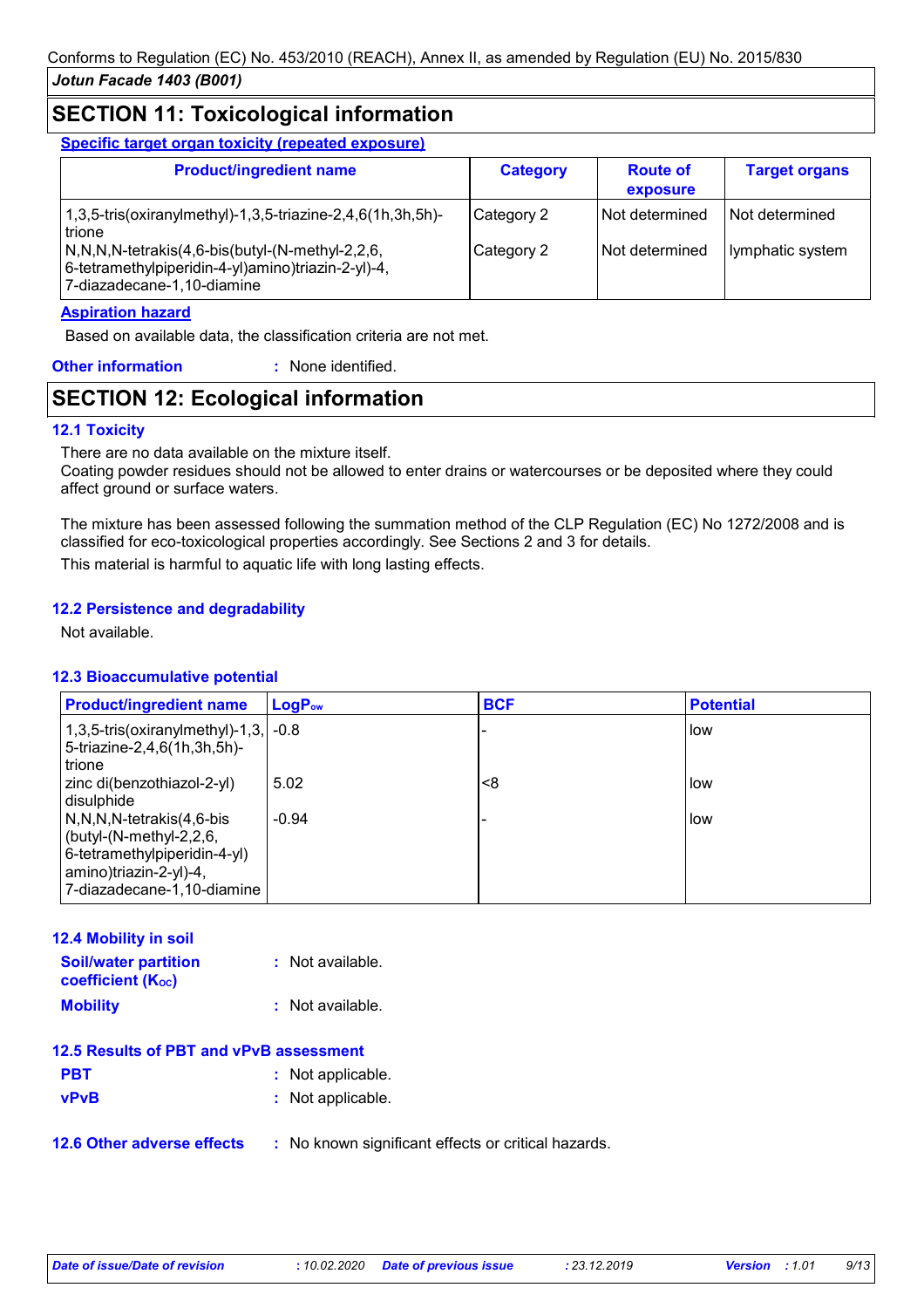## **SECTION 11: Toxicological information**

**Specific target organ toxicity (repeated exposure)**

| <b>Product/ingredient name</b>                                                                                                                                                                                                  | <b>Category</b>          | <b>Route of</b><br>exposure      | <b>Target organs</b>                 |
|---------------------------------------------------------------------------------------------------------------------------------------------------------------------------------------------------------------------------------|--------------------------|----------------------------------|--------------------------------------|
| 1,3,5-tris(oxiranylmethyl)-1,3,5-triazine-2,4,6(1h,3h,5h)-<br>trione<br>$\sqrt{N,N,N}$ -tetrakis $(4,6$ -bis $\frac{N-1}{N}$ -methyl-2,2,6,<br>6-tetramethylpiperidin-4-yl)amino)triazin-2-yl)-4,<br>7-diazadecane-1,10-diamine | Category 2<br>Category 2 | Not determined<br>Not determined | l Not determined<br>lymphatic system |

### **Aspiration hazard**

Based on available data, the classification criteria are not met.

**Other information :** : None identified.

## **SECTION 12: Ecological information**

## **12.1 Toxicity**

There are no data available on the mixture itself.

Coating powder residues should not be allowed to enter drains or watercourses or be deposited where they could affect ground or surface waters.

The mixture has been assessed following the summation method of the CLP Regulation (EC) No 1272/2008 and is classified for eco-toxicological properties accordingly. See Sections 2 and 3 for details. This material is harmful to aquatic life with long lasting effects.

## **12.2 Persistence and degradability**

Not available.

### **12.3 Bioaccumulative potential**

| <b>Product/ingredient name</b>                                                                                                                      | $LogP_{ow}$ | <b>BCF</b> | <b>Potential</b> |
|-----------------------------------------------------------------------------------------------------------------------------------------------------|-------------|------------|------------------|
| 1,3,5-tris(oxiranylmethyl)-1,3, $\vert$ -0.8<br>5-triazine-2,4,6(1h,3h,5h)-<br>trione                                                               |             |            | low              |
| zinc di(benzothiazol-2-yl)<br>disulphide                                                                                                            | 5.02        | <8         | i low            |
| $N, N, N$ -tetrakis $(4, 6$ -bis<br>(butyl-(N-methyl-2,2,6,<br>6-tetramethylpiperidin-4-yl)<br>amino)triazin-2-yl)-4,<br>7-diazadecane-1,10-diamine | $-0.94$     |            | low.             |

| <b>12.4 Mobility in soil</b>                     |                    |
|--------------------------------------------------|--------------------|
| <b>Soil/water partition</b><br>coefficient (Koc) | : Not available.   |
| <b>Mobility</b>                                  | $:$ Not available. |
| 12.5 Results of PBT and vPvB assessment          |                    |
| <b>PBT</b>                                       | : Not applicable.  |
| <b>vPvB</b>                                      | : Not applicable.  |

**12.6 Other adverse effects** : No known significant effects or critical hazards.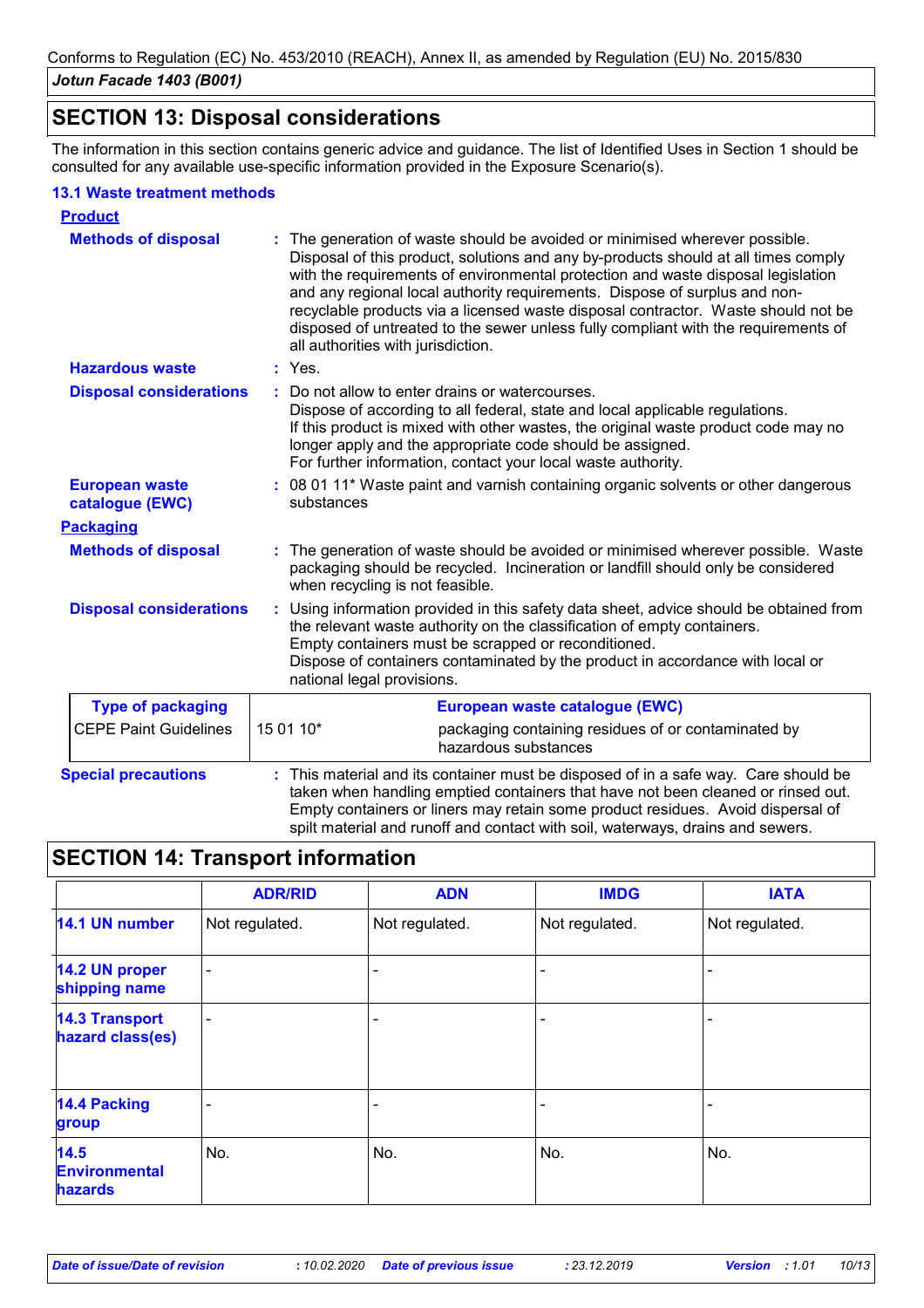## **SECTION 13: Disposal considerations**

The information in this section contains generic advice and guidance. The list of Identified Uses in Section 1 should be consulted for any available use-specific information provided in the Exposure Scenario(s).

### **13.1 Waste treatment methods**

| <b>Product</b>                           |                                                                                                                                                                                                                                                                                                                                                                                                                                                                                                                                                    |
|------------------------------------------|----------------------------------------------------------------------------------------------------------------------------------------------------------------------------------------------------------------------------------------------------------------------------------------------------------------------------------------------------------------------------------------------------------------------------------------------------------------------------------------------------------------------------------------------------|
| <b>Methods of disposal</b>               | The generation of waste should be avoided or minimised wherever possible.<br>Disposal of this product, solutions and any by-products should at all times comply<br>with the requirements of environmental protection and waste disposal legislation<br>and any regional local authority requirements. Dispose of surplus and non-<br>recyclable products via a licensed waste disposal contractor. Waste should not be<br>disposed of untreated to the sewer unless fully compliant with the requirements of<br>all authorities with jurisdiction. |
| <b>Hazardous waste</b>                   | : Yes.                                                                                                                                                                                                                                                                                                                                                                                                                                                                                                                                             |
| <b>Disposal considerations</b>           | Do not allow to enter drains or watercourses.<br>÷.<br>Dispose of according to all federal, state and local applicable regulations.<br>If this product is mixed with other wastes, the original waste product code may no<br>longer apply and the appropriate code should be assigned.<br>For further information, contact your local waste authority.                                                                                                                                                                                             |
| <b>European waste</b><br>catalogue (EWC) | : 08 01 11* Waste paint and varnish containing organic solvents or other dangerous<br>substances                                                                                                                                                                                                                                                                                                                                                                                                                                                   |
| <b>Packaging</b>                         |                                                                                                                                                                                                                                                                                                                                                                                                                                                                                                                                                    |
| <b>Methods of disposal</b>               | The generation of waste should be avoided or minimised wherever possible. Waste<br>packaging should be recycled. Incineration or landfill should only be considered<br>when recycling is not feasible.                                                                                                                                                                                                                                                                                                                                             |
| <b>Disposal considerations</b>           | Using information provided in this safety data sheet, advice should be obtained from<br>÷.<br>the relevant waste authority on the classification of empty containers.<br>Empty containers must be scrapped or reconditioned.<br>Dispose of containers contaminated by the product in accordance with local or<br>national legal provisions.                                                                                                                                                                                                        |
| <b>Type of packaging</b>                 | European waste catalogue (EWC)                                                                                                                                                                                                                                                                                                                                                                                                                                                                                                                     |
| <b>CEPE Paint Guidelines</b>             | 15 01 10*<br>packaging containing residues of or contaminated by<br>hazardous substances                                                                                                                                                                                                                                                                                                                                                                                                                                                           |
| <b>Special precautions</b>               | This material and its container must be disposed of in a safe way. Care should be<br>taken when handling emptied containers that have not been cleaned or rinsed out.<br>Empty containers or liners may retain some product residues. Avoid dispersal of<br>spilt material and runoff and contact with soil, waterways, drains and sewers.                                                                                                                                                                                                         |

# **SECTION 14: Transport information**

|                                           | <b>ADR/RID</b>           | <b>ADN</b>     | <b>IMDG</b>    | <b>IATA</b>    |
|-------------------------------------------|--------------------------|----------------|----------------|----------------|
| 14.1 UN number                            | Not regulated.           | Not regulated. | Not regulated. | Not regulated. |
| 14.2 UN proper<br>shipping name           | $\blacksquare$           |                |                |                |
| <b>14.3 Transport</b><br>hazard class(es) | $\overline{\phantom{0}}$ |                | ۰              |                |
| <b>14.4 Packing</b><br>group              |                          |                |                |                |
| 14.5<br><b>Environmental</b><br>hazards   | No.                      | No.            | No.            | No.            |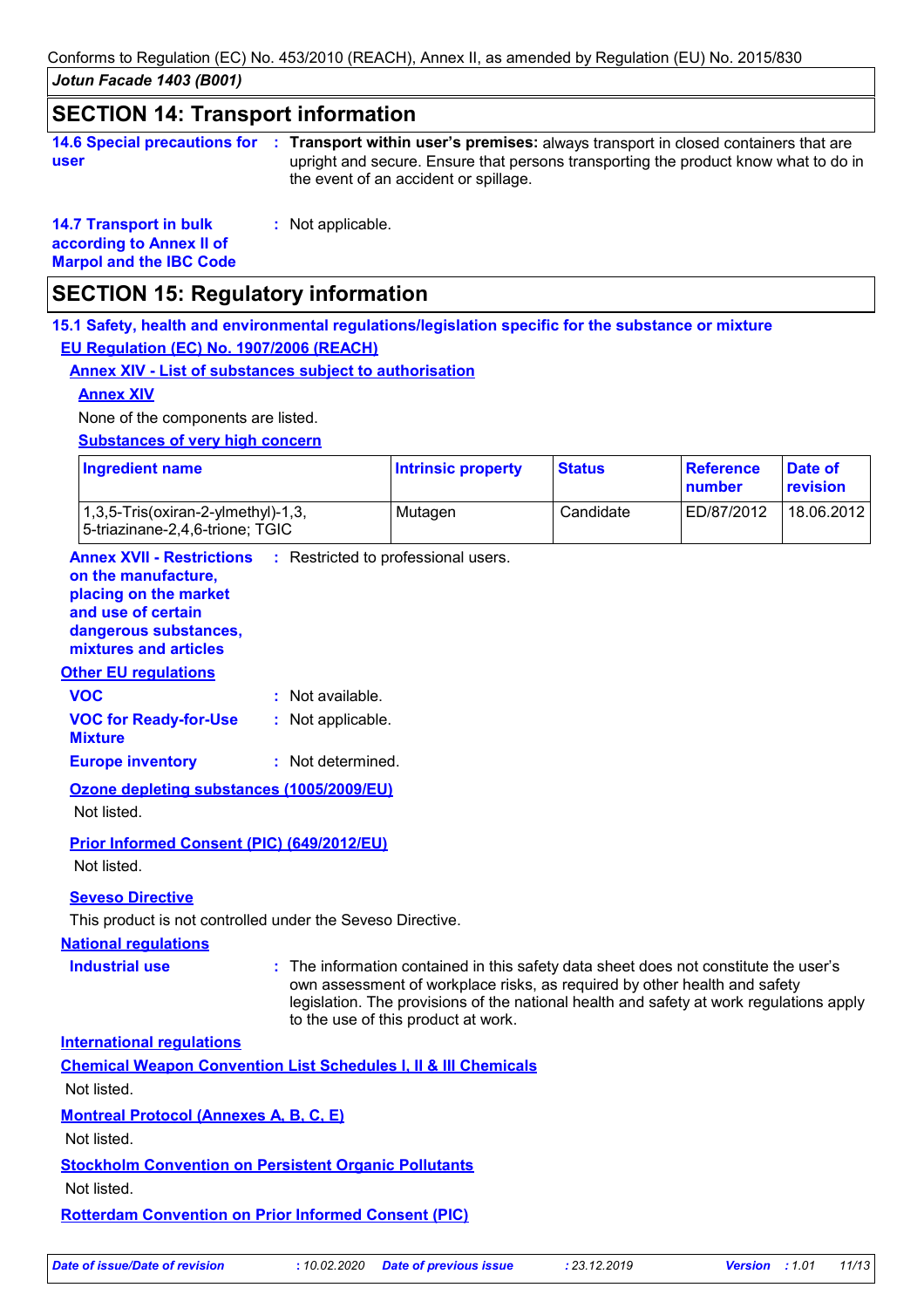*Jotun Facade 1403 (B001)* Conforms to Regulation (EC) No. 453/2010 (REACH), Annex II, as amended by Regulation (EU) No. 2015/830

## **SECTION 14: Transport information**

| 14.6 Special precautions for : Tr |    |
|-----------------------------------|----|
| user                              | ur |

**Transport within user's premises:** always transport in closed containers that are **:** upright and secure. Ensure that persons transporting the product know what to do in the event of an accident or spillage.

**14.7 Transport in bulk according to Annex II of Marpol and the IBC Code**

**:** Not applicable.

## **SECTION 15: Regulatory information**

**15.1 Safety, health and environmental regulations/legislation specific for the substance or mixture EU Regulation (EC) No. 1907/2006 (REACH)**

## **Annex XIV - List of substances subject to authorisation**

### **Annex XIV**

None of the components are listed.

**Substances of very high concern**

| <b>Ingredient name</b>                                                                 | <b>Intrinsic property</b> | <b>Status</b> | Reference<br>number | Date of<br>revision |
|----------------------------------------------------------------------------------------|---------------------------|---------------|---------------------|---------------------|
| $(1,3,5\text{-}Tris(oxiran-2\text{-}vImethyl)-1,3)$<br>5-triazinane-2,4,6-trione; TGIC | Mutagen                   | Candidate     | ED/87/2012          | 18.06.2012          |

**Annex XVII - Restrictions** : Restricted to professional users.

#### **on the manufacture, placing on the market**

**and use of certain** 

**dangerous substances, mixtures and articles**

## **Other EU regulations**

| <b>UNGLEU IBULIQUOIS</b>                       |                   |
|------------------------------------------------|-------------------|
| <b>VOC</b>                                     | : Not available.  |
| <b>VOC for Ready-for-Use</b><br><b>Mixture</b> | : Not applicable. |
| <b>Europe inventory</b>                        | : Not determined. |

**Ozone depleting substances (1005/2009/EU)** Not listed.

**Prior Informed Consent (PIC) (649/2012/EU)** Not listed.

### **Seveso Directive**

This product is not controlled under the Seveso Directive.

### **National regulations**

**Industrial use <b>:** The information contained in this safety data sheet does not constitute the user's own assessment of workplace risks, as required by other health and safety legislation. The provisions of the national health and safety at work regulations apply to the use of this product at work.

**International regulations**

| <b>Chemical Weapon Convention List Schedules I, II &amp; III Chemicals</b> |
|----------------------------------------------------------------------------|
|----------------------------------------------------------------------------|

Not listed.

**Montreal Protocol (Annexes A, B, C, E)**

Not listed.

## **Stockholm Convention on Persistent Organic Pollutants**

Not listed.

**Rotterdam Convention on Prior Informed Consent (PIC)**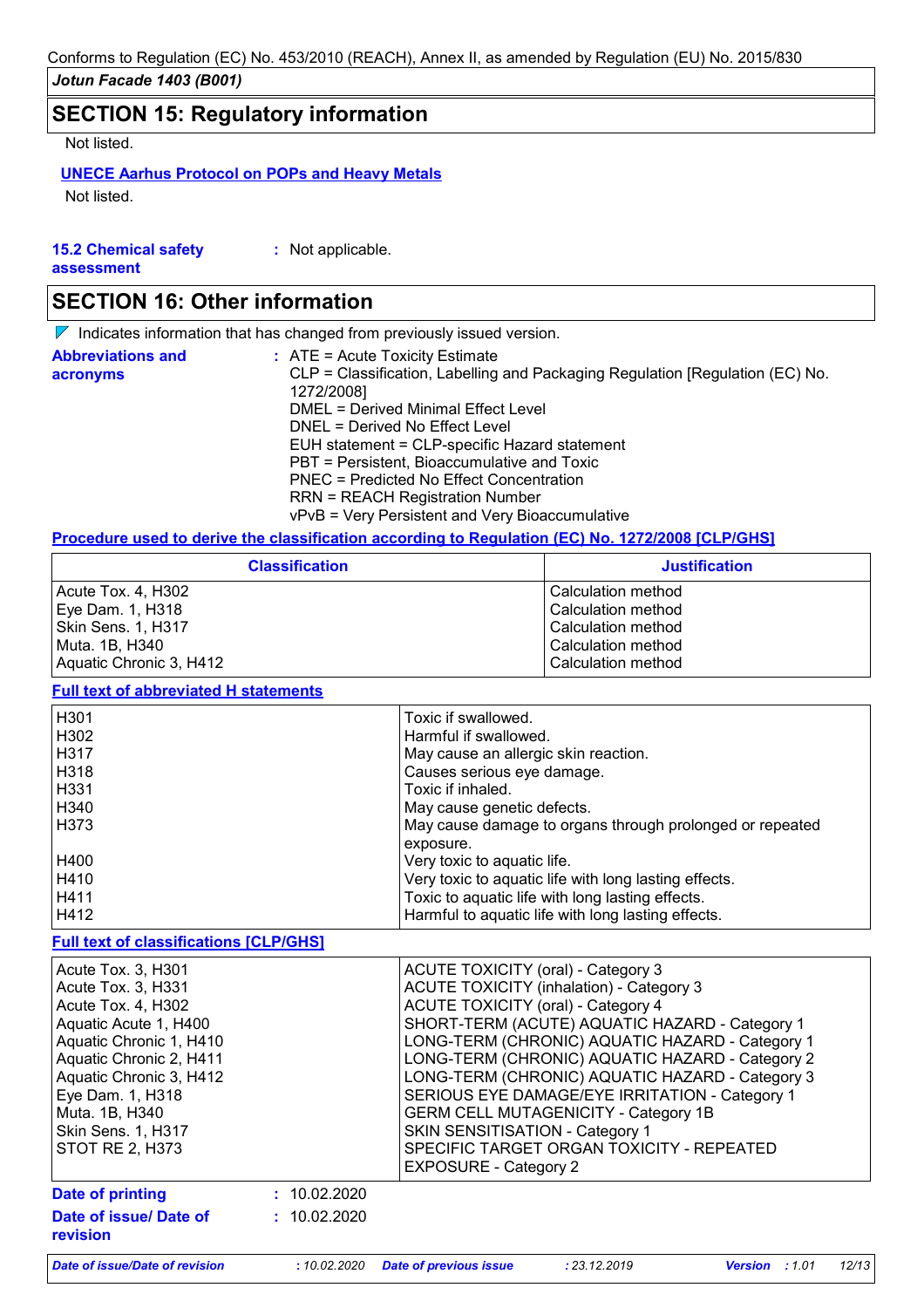# **SECTION 15: Regulatory information**

Not listed.

## **UNECE Aarhus Protocol on POPs and Heavy Metals**

Not listed.

| <b>15.2 Chemical safety</b> | : Not applicable. |
|-----------------------------|-------------------|
| assessment                  |                   |

# **SECTION 16: Other information**

 $\nabla$  Indicates information that has changed from previously issued version.

| <b>Abbreviations and</b><br>acronyms | $\therefore$ ATE = Acute Toxicity Estimate<br>CLP = Classification, Labelling and Packaging Regulation [Regulation (EC) No.<br>1272/2008] |  |  |
|--------------------------------------|-------------------------------------------------------------------------------------------------------------------------------------------|--|--|
|                                      | DMEL = Derived Minimal Effect Level                                                                                                       |  |  |
|                                      | DNEL = Derived No Effect Level                                                                                                            |  |  |
|                                      | EUH statement = CLP-specific Hazard statement                                                                                             |  |  |
|                                      | PBT = Persistent, Bioaccumulative and Toxic                                                                                               |  |  |
|                                      | <b>PNEC = Predicted No Effect Concentration</b>                                                                                           |  |  |
|                                      | <b>RRN = REACH Registration Number</b>                                                                                                    |  |  |
|                                      | vPvB = Very Persistent and Very Bioaccumulative                                                                                           |  |  |

#### **Procedure used to derive the classification according to Regulation (EC) No. 1272/2008 [CLP/GHS]**

| <b>Classification</b>   | <b>Justification</b> |
|-------------------------|----------------------|
| Acute Tox. 4, H302      | Calculation method   |
| Eye Dam. 1, H318        | Calculation method   |
| Skin Sens. 1, H317      | Calculation method   |
| Muta. 1B, H340          | Calculation method   |
| Aquatic Chronic 3, H412 | Calculation method   |

#### **Full text of abbreviated H statements**

| H <sub>301</sub> | Toxic if swallowed.                                      |
|------------------|----------------------------------------------------------|
| H302             | Harmful if swallowed.                                    |
| H <sub>317</sub> | May cause an allergic skin reaction.                     |
| H318             | Causes serious eye damage.                               |
| H <sub>331</sub> | Toxic if inhaled.                                        |
| H340             | May cause genetic defects.                               |
| H373             | May cause damage to organs through prolonged or repeated |
|                  | exposure.                                                |
| H400             | Very toxic to aquatic life.                              |
| H410             | Very toxic to aquatic life with long lasting effects.    |
| H411             | Toxic to aquatic life with long lasting effects.         |
| H412             | Harmful to aquatic life with long lasting effects.       |

## **Full text of classifications [CLP/GHS]**

| Acute Tox. 3, H301<br>Acute Tox. 3, H331<br>Acute Tox. 4, H302<br>Aquatic Acute 1, H400<br>Aquatic Chronic 1, H410<br>Aquatic Chronic 2, H411<br>Aquatic Chronic 3, H412<br>Eye Dam. 1, H318<br>Muta. 1B, H340<br>Skin Sens. 1, H317<br><b>STOT RE 2, H373</b> |              | <b>ACUTE TOXICITY (oral) - Category 3</b><br><b>ACUTE TOXICITY (inhalation) - Category 3</b><br><b>ACUTE TOXICITY (oral) - Category 4</b><br>SHORT-TERM (ACUTE) AQUATIC HAZARD - Category 1<br>LONG-TERM (CHRONIC) AQUATIC HAZARD - Category 1<br>LONG-TERM (CHRONIC) AQUATIC HAZARD - Category 2<br>LONG-TERM (CHRONIC) AQUATIC HAZARD - Category 3<br>SERIOUS EYE DAMAGE/EYE IRRITATION - Category 1<br><b>GERM CELL MUTAGENICITY - Category 1B</b><br>SKIN SENSITISATION - Category 1<br>SPECIFIC TARGET ORGAN TOXICITY - REPEATED<br><b>EXPOSURE - Category 2</b> |
|----------------------------------------------------------------------------------------------------------------------------------------------------------------------------------------------------------------------------------------------------------------|--------------|-----------------------------------------------------------------------------------------------------------------------------------------------------------------------------------------------------------------------------------------------------------------------------------------------------------------------------------------------------------------------------------------------------------------------------------------------------------------------------------------------------------------------------------------------------------------------|
| Date of printing                                                                                                                                                                                                                                               | : 10.02.2020 |                                                                                                                                                                                                                                                                                                                                                                                                                                                                                                                                                                       |
| Date of issue/ Date of<br>revision                                                                                                                                                                                                                             | : 10.02.2020 |                                                                                                                                                                                                                                                                                                                                                                                                                                                                                                                                                                       |